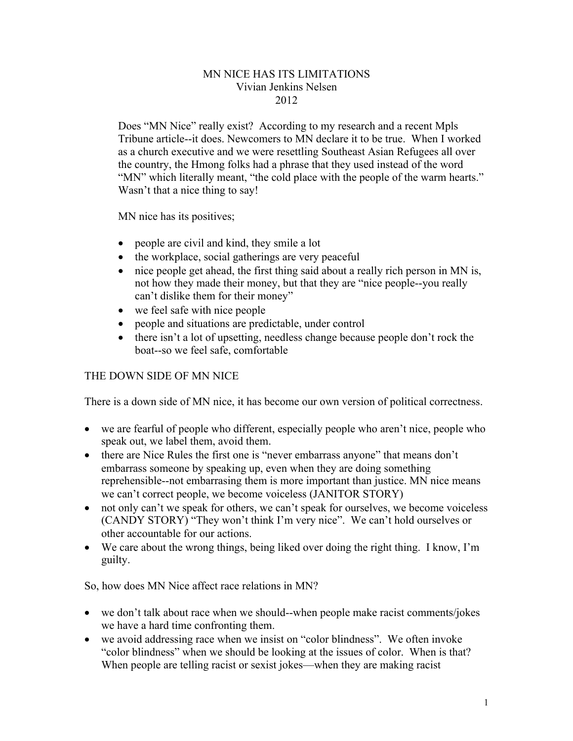## MN NICE HAS ITS LIMITATIONS Vivian Jenkins Nelsen 2012

Does "MN Nice" really exist? According to my research and a recent Mpls Tribune article--it does. Newcomers to MN declare it to be true. When I worked as a church executive and we were resettling Southeast Asian Refugees all over the country, the Hmong folks had a phrase that they used instead of the word "MN" which literally meant, "the cold place with the people of the warm hearts." Wasn't that a nice thing to say!

MN nice has its positives;

- people are civil and kind, they smile a lot
- the workplace, social gatherings are very peaceful
- nice people get ahead, the first thing said about a really rich person in MN is, not how they made their money, but that they are "nice people--you really can't dislike them for their money"
- we feel safe with nice people
- people and situations are predictable, under control
- there isn't a lot of upsetting, needless change because people don't rock the boat--so we feel safe, comfortable

## THE DOWN SIDE OF MN NICE

There is a down side of MN nice, it has become our own version of political correctness.

- we are fearful of people who different, especially people who aren't nice, people who speak out, we label them, avoid them.
- there are Nice Rules the first one is "never embarrass anyone" that means don't embarrass someone by speaking up, even when they are doing something reprehensible--not embarrasing them is more important than justice. MN nice means we can't correct people, we become voiceless (JANITOR STORY)
- not only can't we speak for others, we can't speak for ourselves, we become voiceless (CANDY STORY) "They won't think I'm very nice". We can't hold ourselves or other accountable for our actions.
- We care about the wrong things, being liked over doing the right thing. I know, I'm guilty.

So, how does MN Nice affect race relations in MN?

- we don't talk about race when we should--when people make racist comments/jokes we have a hard time confronting them.
- we avoid addressing race when we insist on "color blindness". We often invoke "color blindness" when we should be looking at the issues of color. When is that? When people are telling racist or sexist jokes—when they are making racist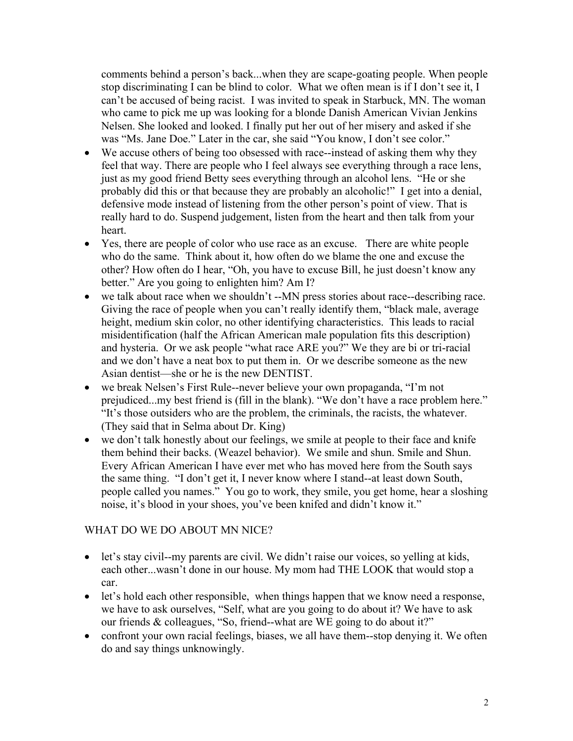comments behind a person's back...when they are scape-goating people. When people stop discriminating I can be blind to color. What we often mean is if I don't see it, I can't be accused of being racist. I was invited to speak in Starbuck, MN. The woman who came to pick me up was looking for a blonde Danish American Vivian Jenkins Nelsen. She looked and looked. I finally put her out of her misery and asked if she was "Ms. Jane Doe." Later in the car, she said "You know, I don't see color."

- We accuse others of being too obsessed with race--instead of asking them why they feel that way. There are people who I feel always see everything through a race lens, just as my good friend Betty sees everything through an alcohol lens. "He or she probably did this or that because they are probably an alcoholic!" I get into a denial, defensive mode instead of listening from the other person's point of view. That is really hard to do. Suspend judgement, listen from the heart and then talk from your heart.
- Yes, there are people of color who use race as an excuse. There are white people who do the same. Think about it, how often do we blame the one and excuse the other? How often do I hear, "Oh, you have to excuse Bill, he just doesn't know any better." Are you going to enlighten him? Am I?
- we talk about race when we shouldn't --MN press stories about race--describing race. Giving the race of people when you can't really identify them, "black male, average height, medium skin color, no other identifying characteristics. This leads to racial misidentification (half the African American male population fits this description) and hysteria. Or we ask people "what race ARE you?" We they are bi or tri-racial and we don't have a neat box to put them in. Or we describe someone as the new Asian dentist—she or he is the new DENTIST.
- we break Nelsen's First Rule--never believe your own propaganda, "I'm not prejudiced...my best friend is (fill in the blank). "We don't have a race problem here." "It's those outsiders who are the problem, the criminals, the racists, the whatever. (They said that in Selma about Dr. King)
- we don't talk honestly about our feelings, we smile at people to their face and knife them behind their backs. (Weazel behavior). We smile and shun. Smile and Shun. Every African American I have ever met who has moved here from the South says the same thing. "I don't get it, I never know where I stand--at least down South, people called you names." You go to work, they smile, you get home, hear a sloshing noise, it's blood in your shoes, you've been knifed and didn't know it."

## WHAT DO WE DO ABOUT MN NICE?

- let's stay civil--my parents are civil. We didn't raise our voices, so yelling at kids, each other...wasn't done in our house. My mom had THE LOOK that would stop a car.
- let's hold each other responsible, when things happen that we know need a response, we have to ask ourselves, "Self, what are you going to do about it? We have to ask our friends & colleagues, "So, friend--what are WE going to do about it?"
- confront your own racial feelings, biases, we all have them--stop denying it. We often do and say things unknowingly.